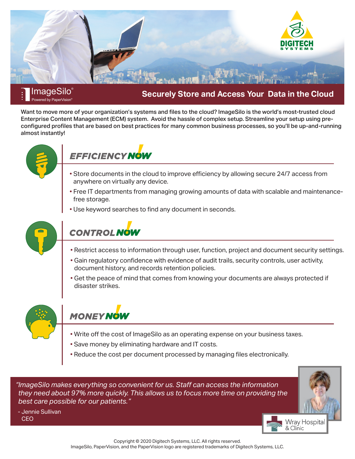

#### **ImageSilo**® Powered by PaperVision<sup>®</sup>

## **Securely Store and Access Your Data in the Cloud**

Want to move more of your organization's systems and files to the cloud? ImageSilo is the world's most-trusted cloud Enterprise Content Management (ECM) system. Avoid the hassle of complex setup. Streamline your setup using preconfigured profiles that are based on best practices for many common business processes, so you'll be up-and-running almost instantly!



## *EFFICIENCY NOW*

- Store documents in the cloud to improve efficiency by allowing secure 24/7 access from anywhere on virtually any device.
- Free IT departments from managing growing amounts of data with scalable and maintenancefree storage.
- Use keyword searches to find any document in seconds.



# **CONTROL NOW**

- Restrict access to information through user, function, project and document security settings.
- Gain regulatory confidence with evidence of audit trails, security controls, user activity, document history, and records retention policies.
- Get the peace of mind that comes from knowing your documents are always protected if disaster strikes.



## **MONEY NOW**

- Write off the cost of ImageSilo as an operating expense on your business taxes.
- Save money by eliminating hardware and IT costs.
- Reduce the cost per document processed by managing files electronically.

*"ImageSilo makes everything so convenient for us. Staff can access the information they need about 97% more quickly. This allows us to focus more time on providing the best care possible for our patients."*



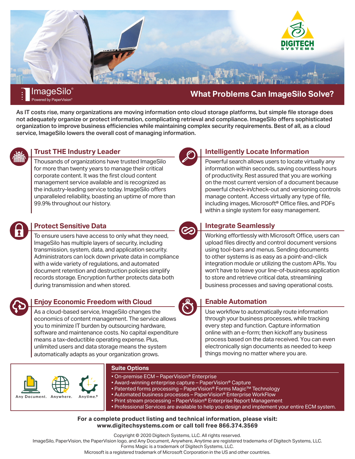

#### **ImageSilo**® Powered by PaperVision<sup>®</sup>

**What Problems Can ImageSilo Solve?**

As IT costs rise, many organizations are moving information onto cloud storage platforms, but simple file storage does not adequately organize or protect information, complicating retrieval and compliance. ImageSilo offers sophisticated organization to improve business efficiencies while maintaining complex security requirements. Best of all, as a cloud service, ImageSilo lowers the overall cost of managing information.



## **Trust THE Industry Leader**

Thousands of organizations have trusted ImageSilo for more than twenty years to manage their critical corporate content. It was the first cloud content management service available and is recognized as the industry-leading service today. ImageSilo offers unparalleled reliability, boasting an uptime of more than 99.9% throughout our history.

## **Protect Sensitive Data**

To ensure users have access to only what they need, ImageSilo has multiple layers of security, including transmission, system, data, and application security. Administrators can lock down private data in compliance with a wide variety of regulations, and automated document retention and destruction policies simplify records storage. Encryption further protects data both during transmission and when stored.



## **Enjoy Economic Freedom with Cloud**

As a cloud-based service, ImageSilo changes the economics of content management. The service allows you to minimize IT burden by outsourcing hardware, software and maintenance costs. No capital expenditure means a tax-deductible operating expense. Plus, unlimited users and data storage means the system automatically adapts as your organization grows.



## **Intelligently Locate Information**

Powerful search allows users to locate virtually any information within seconds, saving countless hours of productivity. Rest assured that you are working on the most current version of a document because powerful check-in/check-out and versioning controls manage content. Access virtually any type of file, including images, Microsoft® Office files, and PDFs within a single system for easy management.



## **Integrate Seamlessly**

Working effortlessly with Microsoft Office, users can upload files directly and control document versions using tool-bars and menus. Sending documents to other systems is as easy as a point-and-click integration module or utilizing the custom APIs. You won't have to leave your line-of-business application to store and retrieve critical data, streamlining business processes and saving operational costs.

## **Enable Automation**

Use workflow to automatically route information through your business processes, while tracking every step and function. Capture information online with an e-form; then kickoff any business process based on the data received. You can even electronically sign documents as needed to keep things moving no matter where you are.



### **Suite Options**

- On-premise ECM PaperVision® Enterprise
- Award-winning enterprise capture PaperVision® Capture
- Patented forms processing PaperVision® Forms Magic™ Technology
- Automated business processes PaperVision® Enterprise WorkFlow

• Print stream processing – PaperVision® Enterprise Report Management

• Professional Services are available to help you design and implement your entire ECM system.

#### **For a complete product listing and technical information, please visit: www.digitechsystems.com or call toll free 866.374.3569**

Copyright © 2020 Digitech Systems, LLC. All rights reserved.

ImageSilo, PaperVision, the PaperVision logo, and Any Document, Anywhere, Anytime are registered trademarks of Digitech Systems, LLC.

Forms Magic is a trademark of Digitech Systems, LLC.

Microsoft is a registered trademark of Microsoft Corporation in the US and other countries.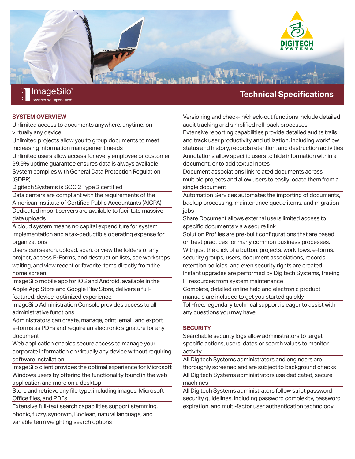

### **SYSTEM OVERVIEW**

Powered by PaperVision®

Unlimited access to documents anywhere, anytime, on virtually any device

Unlimited projects allow you to group documents to meet increasing information management needs

Unlimited users allow access for every employee or customer

99.9% uptime guarantee ensures data is always available System complies with General Data Protection Regulation

(GDPR)

Digitech Systems is SOC 2 Type 2 certified

Data centers are compliant with the requirements of the American Institute of Certified Public Accountants (AICPA) Dedicated import servers are available to facilitate massive

data uploads

A cloud system means no capital expenditure for system implementation and a tax-deductible operating expense for organizations

Users can search, upload, scan, or view the folders of any project, access E-Forms, and destruction lists, see worksteps waiting, and view recent or favorite items directly from the home screen

ImageSilo mobile app for iOS and Android, available in the Apple App Store and Google Play Store, delivers a fullfeatured, device-optimized experience.

ImageSilo Administration Console provides access to all administrative functions

Administrators can create, manage, print, email, and export e-forms as PDFs and require an electronic signature for any document

Web application enables secure access to manage your corporate information on virtually any device without requiring software installation

ImageSilo client provides the optimal experience for Microsoft Windows users by offering the functionality found in the web application and more on a desktop

Store and retrieve any file type, including images, Microsoft Office files, and PDFs

Extensive full-text search capabilities support stemming, phonic, fuzzy, synonym, Boolean, natural language, and variable term weighting search options

## **Technical Specifications**

Versioning and check-in/check-out functions include detailed audit tracking and simplified roll-back processes

Extensive reporting capabilities provide detailed audits trails and track user productivity and utilization, including workflow status and history, records retention, and destruction activities Annotations allow specific users to hide information within a document, or to add textual notes

Document associations link related documents across multiple projects and allow users to easily locate them from a single document

Automation Services automates the importing of documents, backup processing, maintenance queue items, and migration jobs

Share Document allows external users limited access to specific documents via a secure link

Solution Profiles are pre-built configurations that are based on best practices for many common business processes. With just the click of a button, projects, workflows, e-forms, security groups, users, document associations, records retention policies, and even security rights are created Instant upgrades are performed by Digitech Systems, freeing

IT resources from system maintenance

Complete, detailed online help and electronic product manuals are included to get you started quickly

Toll-free, legendary technical support is eager to assist with any questions you may have

#### **SECURITY**

Searchable security logs allow administrators to target specific actions, users, dates or search values to monitor activity

All Digitech Systems administrators and engineers are thoroughly screened and are subject to background checks All Digitech Systems administrators use dedicated, secure machines

All Digitech Systems administrators follow strict password security guidelines, including password complexity, password expiration, and multi-factor user authentication technology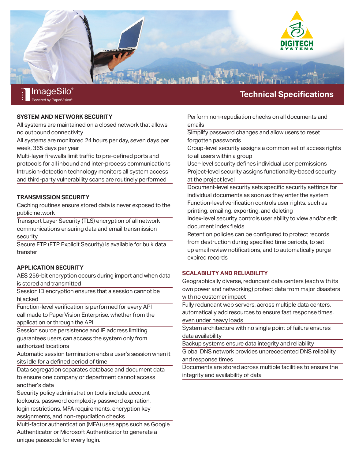

#### **SYSTEM AND NETWORK SECURITY**

Powered by PaperVision®

All systems are maintained on a closed network that allows no outbound connectivity

All systems are monitored 24 hours per day, seven days per week, 365 days per year

Multi-layer firewalls limit traffic to pre-defined ports and protocols for all inbound and inter-process communications Intrusion-detection technology monitors all system access and third-party vulnerability scans are routinely performed

#### **TRANSMISSION SECURITY**

Caching routines ensure stored data is never exposed to the public network

Transport Layer Security (TLS) encryption of all network communications ensuring data and email transmission security

Secure FTP (FTP Explicit Security) is available for bulk data transfer

#### **APPLICATION SECURITY**

AES 256-bit encryption occurs during import and when data is stored and transmitted

Session ID encryption ensures that a session cannot be hijacked

Function-level verification is performed for every API call made to PaperVision Enterprise, whether from the application or through the API

Session source persistence and IP address limiting guarantees users can access the system only from authorized locations

Automatic session termination ends a user's session when it sits idle for a defined period of time

Data segregation separates database and document data to ensure one company or department cannot access another's data

Security policy administration tools include account lockouts, password complexity password expiration, login restrictions, MFA requirements, encryption key

assignments, and non-repudiation checks

Multi-factor authentication (MFA) uses apps such as Google Authenticator or Microsoft Authenticator to generate a unique passcode for every login.

#### Perform non-repudiation checks on all documents and emails

Simplify password changes and allow users to reset forgotten passwords

Group-level security assigns a common set of access rights to all users within a group

User-level security defines individual user permissions Project-level security assigns functionality-based security at the project level

Document-level security sets specific security settings for individual documents as soon as they enter the system

Function-level verification controls user rights, such as printing, emailing, exporting, and deleting

Index-level security controls user ability to view and/or edit document index fields

Retention policies can be configured to protect records from destruction during specified time periods, to set up email review notifications, and to automatically purge expired records

#### **SCALABILITY AND RELIABILITY**

Geographically diverse, redundant data centers (each with its own power and networking) protect data from major disasters with no customer impact

Fully redundant web servers, across multiple data centers, automatically add resources to ensure fast response times, even under heavy loads

System architecture with no single point of failure ensures data availability

Backup systems ensure data integrity and reliability

Global DNS network provides unprecedented DNS reliability and response times

Documents are stored across multiple facilities to ensure the integrity and availability of data